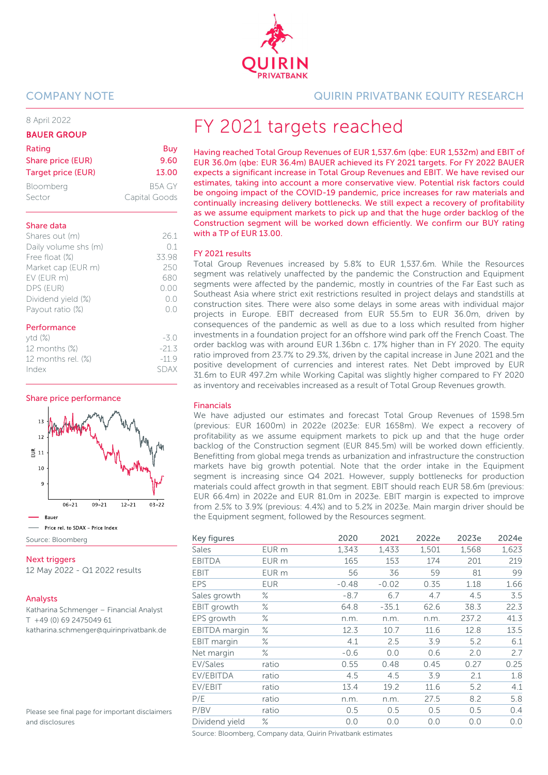

#### 8 April 2022

#### BAUER GROUP

| Rating             | Buy           |
|--------------------|---------------|
| Share price (EUR)  | 9.60          |
| Target price (EUR) | 13.00         |
| Bloomberg          | B5A GY        |
| Sector             | Capital Goods |

#### Share data

| Shares out (m)       | 261   |
|----------------------|-------|
| Daily volume shs (m) | 01    |
| Free float (%)       | 33.98 |
| Market cap (EUR m)   | 250   |
| EV (EUR m)           | 680   |
| DPS (EUR)            | 0.00  |
| Dividend yield (%)   | ()()  |
| Payout ratio (%)     | n n   |
|                      |       |

#### Performance

| $ytd(\%)$             | $-30$   |
|-----------------------|---------|
| 12 months (%)         | $-21.3$ |
| 12 months rel. $(\%)$ | $-119$  |
| Index                 | SDAX    |
|                       |         |

Share price performance



**Next triggers** 12 May 2022 - Q1 2022 results

#### Analysts

Katharina Schmenger – Financial Analyst T +49 (0) 69 2475049 61 katharina.schmenger@quirinprivatbank.de

Please see final page for important disclaimers and disclosures

COMPANY NOTE QUIRIN PRIVATBANK EQUITY RESEARCH

# FY 2021 targets reached

Having reached Total Group Revenues of EUR 1,537.6m (qbe: EUR 1,532m) and EBIT of EUR 36.0m (qbe: EUR 36.4m) BAUER achieved its FY 2021 targets. For FY 2022 BAUER expects a significant increase in Total Group Revenues and EBIT. We have revised our estimates, taking into account a more conservative view. Potential risk factors could be ongoing impact of the COVID-19 pandemic, price increases for raw materials and continually increasing delivery bottlenecks. We still expect a recovery of profitability as we assume equipment markets to pick up and that the huge order backlog of the Construction segment will be worked down efficiently. We confirm our BUY rating with a TP of EUR 13.00.

#### FY 2021 results

Total Group Revenues increased by 5.8% to EUR 1,537.6m. While the Resources segment was relatively unaffected by the pandemic the Construction and Equipment segments were affected by the pandemic, mostly in countries of the Far East such as Southeast Asia where strict exit restrictions resulted in project delays and standstills at construction sites. There were also some delays in some areas with individual major projects in Europe. EBIT decreased from EUR 55.5m to EUR 36.0m, driven by consequences of the pandemic as well as due to a loss which resulted from higher investments in a foundation project for an offshore wind park off the French Coast. The order backlog was with around EUR 1.36bn c. 17% higher than in FY 2020. The equity ratio improved from 23.7% to 29.3%, driven by the capital increase in June 2021 and the positive development of currencies and interest rates. Net Debt improved by EUR 31.6m to EUR 497.2m while Working Capital was slightly higher compared to FY 2020 as inventory and receivables increased as a result of Total Group Revenues growth.

#### Financials

We have adjusted our estimates and forecast Total Group Revenues of 1598.5m (previous: EUR 1600m) in 2022e (2023e: EUR 1658m). We expect a recovery of profitability as we assume equipment markets to pick up and that the huge order backlog of the Construction segment (EUR 845.5m) will be worked down efficiently. Benefitting from global mega trends as urbanization and infrastructure the construction markets have big growth potential. Note that the order intake in the Equipment segment is increasing since Q4 2021. However, supply bottlenecks for production materials could affect growth in that segment. EBIT should reach EUR 58.6m (previous: EUR 66.4m) in 2022e and EUR 81.0m in 2023e. EBIT margin is expected to improve from 2.5% to 3.9% (previous: 4.4%) and to 5.2% in 2023e. Main margin driver should be the Equipment segment, followed by the Resources segment.

| Key figures          |            | 2020    | 2021    | 2022e | 2023e | 2024e |
|----------------------|------------|---------|---------|-------|-------|-------|
| <b>Sales</b>         | EUR m      | 1,343   | 1,433   | 1,501 | 1,568 | 1,623 |
| <b>EBITDA</b>        | EUR m      | 165     | 153     | 174   | 201   | 219   |
| EBIT                 | EUR m      | 56      | 36      | 59    | 81    | 99    |
| <b>EPS</b>           | <b>EUR</b> | $-0.48$ | $-0.02$ | 0.35  | 1.18  | 1.66  |
| Sales growth         | ℅          | $-8.7$  | 6.7     | 4.7   | 4.5   | 3.5   |
| EBIT growth          | ℅          | 64.8    | $-35.1$ | 62.6  | 38.3  | 22.3  |
| EPS growth           | ℅          | n.m.    | n.m.    | n.m.  | 237.2 | 41.3  |
| <b>EBITDA</b> margin | ℅          | 12.3    | 10.7    | 11.6  | 12.8  | 13.5  |
| EBIT margin          | ℅          | 4.1     | 2.5     | 3.9   | 5.2   | 6.1   |
| Net margin           | ℅          | $-0.6$  | 0.0     | 0.6   | 2.0   | 2.7   |
| EV/Sales             | ratio      | 0.55    | 0.48    | 0.45  | 0.27  | 0.25  |
| EV/EBITDA            | ratio      | 4.5     | 4.5     | 3.9   | 2.1   | 1.8   |
| EV/EBIT              | ratio      | 13.4    | 19.2    | 11.6  | 5.2   | 4.1   |
| P/E                  | ratio      | n.m.    | n.m.    | 27.5  | 8.2   | 5.8   |
| P/BV                 | ratio      | 0.5     | 0.5     | 0.5   | 0.5   | 0.4   |
| Dividend yield       | $\%$       | 0.0     | 0.0     | 0.0   | 0.0   | 0.0   |

Source: Bloomberg, Company data, Quirin Privatbank estimates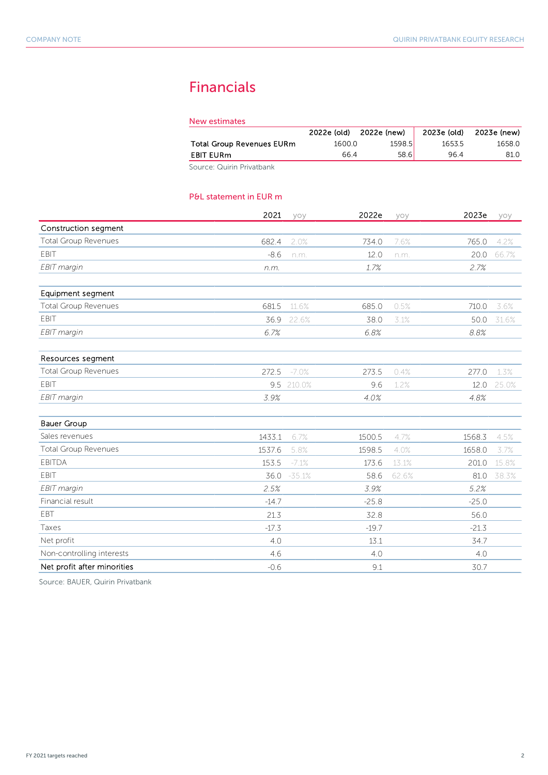# Financials

| New estimates                    |             |             |             |             |
|----------------------------------|-------------|-------------|-------------|-------------|
|                                  | 2022e (old) | 2022e (new) | 2023e (old) | 2023e (new) |
| <b>Total Group Revenues EURm</b> | 1600.0      | 1598.5      | 1653.5      | 1658.0      |
| <b>EBIT EURm</b>                 | 66.4        | 58.6        | 964         | 81.0        |
| Source: Quirin Privatbank        |             |             |             |             |

#### P&L statement in EUR m

|                             | 2021    | yoy      | 2022e   | yoy   | 2023e   | yoy   |
|-----------------------------|---------|----------|---------|-------|---------|-------|
| Construction segment        |         |          |         |       |         |       |
| <b>Total Group Revenues</b> | 682.4   | 2.0%     | 734.0   | 7.6%  | 765.0   | 4.2%  |
| <b>EBIT</b>                 | $-8.6$  | n.m.     | 12.0    | n.m.  | 20.0    | 66.7% |
| EBIT margin                 | n.m.    |          | 1.7%    |       | 2.7%    |       |
| Equipment segment           |         |          |         |       |         |       |
| <b>Total Group Revenues</b> | 681.5   | 11.6%    | 685.0   | 0.5%  | 710.0   | 3.6%  |
| <b>EBIT</b>                 | 36.9    | 22.6%    | 38.0    | 3.1%  | 50.0    | 31.6% |
| EBIT margin                 | 6.7%    |          | 6.8%    |       | 8.8%    |       |
| Resources segment           |         |          |         |       |         |       |
| <b>Total Group Revenues</b> | 272.5   | $-7.0%$  | 273.5   | 0.4%  | 277.0   | 1.3%  |
| EBIT                        | 9.5     | 210.0%   | 9.6     | 1.2%  | 12.0    | 25.0% |
| EBIT margin                 | 3.9%    |          | 4.0%    |       | 4.8%    |       |
| <b>Bauer Group</b>          |         |          |         |       |         |       |
| Sales revenues              | 1433.1  | 6.7%     | 1500.5  | 4.7%  | 1568.3  | 4.5%  |
| <b>Total Group Revenues</b> | 1537.6  | 5.8%     | 1598.5  | 4.0%  | 1658.0  | 3.7%  |
| <b>EBITDA</b>               | 153.5   | $-7.1%$  | 173.6   | 13.1% | 201.0   | 15.8% |
| <b>FBIT</b>                 | 36.0    | $-35.1%$ | 58.6    | 62.6% | 81.0    | 38.3% |
| EBIT margin                 | 2.5%    |          | 3.9%    |       | 5.2%    |       |
| Financial result            | $-14.7$ |          | $-25.8$ |       | $-25.0$ |       |
| EBT                         | 21.3    |          | 32.8    |       | 56.0    |       |
| Taxes                       | $-17.3$ |          | $-19.7$ |       | $-21.3$ |       |
| Net profit                  | 4.0     |          | 13.1    |       | 34.7    |       |
| Non-controlling interests   | 4.6     |          | 4.0     |       | 4.0     |       |
| Net profit after minorities | $-0.6$  |          | 9.1     |       | 30.7    |       |

Source: BAUER, Quirin Privatbank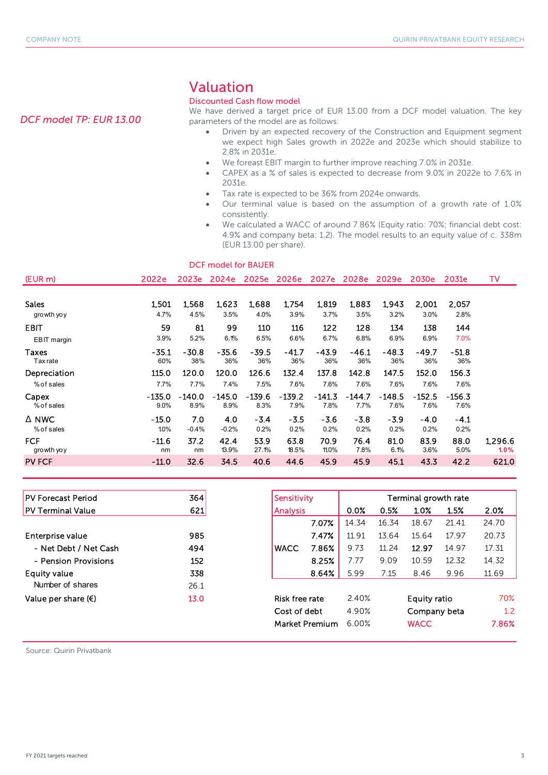*DCF model TP: EUR 13.00* 

## Valuation

#### Discounted Cash flow model

We have derived a target price of EUR 13.00 from a DCF model valuation. The key parameters of the model are as follows:

- Driven by an expected recovery of the Construction and Equipment segment we expect high Sales growth in 2022e and 2023e which should stabilize to 2.8% in 2031e.
- We foreast EBIT margin to further improve reaching 7.0% in 2031e.
- CAPEX as a % of sales is expected to decrease from 9.0% in 2022e to 7.6% in 2031e.
- Tax rate is expected to be 36% from 2024e onwards.
- Our terminal value is based on the assumption of a growth rate of 1.0% consistently.
- We calculated a WACC of around 7.86% (Equity ratio: 70%; financial debt cost: 4.9% and company beta: 1.2). The model results to an equity value of c. 338m (EUR 13.00 per share).

|                 |         |          | DCF model for BAUER |          |          |          |                   |          |          |          |         |
|-----------------|---------|----------|---------------------|----------|----------|----------|-------------------|----------|----------|----------|---------|
| (EUR m)         | 2022e   | 2023e    | 2024e               | 2025e    | 2026e    |          | 2027e 2028e 2029e |          | 2030e    | 2031e    | TV      |
| <b>Sales</b>    | 1,501   | 1,568    | 1,623               | 1,688    | 1,754    | 1,819    | 1,883             | 1,943    | 2,001    | 2,057    |         |
| growth yo y     | 4.7%    | 4.5%     | 3.5%                | 4.0%     | 3.9%     | 3.7%     | 3.5%              | 3.2%     | 3.0%     | 2.8%     |         |
| <b>EBIT</b>     | 59      | 81       | 99                  | 110      | 116      | 122      | 128               | 134      | 138      | 144      |         |
| EBIT margin     | 3.9%    | 5.2%     | 6.1%                | 6.5%     | 6.6%     | 6.7%     | 6.8%              | 6.9%     | 6.9%     | 7.0%     |         |
| Taxes           | $-35.1$ | $-30.8$  | $-35.6$             | $-39.5$  | $-41.7$  | $-43.9$  | $-46.1$           | $-48.3$  | $-49.7$  | $-51.8$  |         |
| <b>Tax rate</b> | 60%     | 38%      | 36%                 | 36%      | 36%      | 36%      | 36%               | 36%      | 36%      | 36%      |         |
| Depreciation    | 115.0   | 120.0    | 120.0               | 126.6    | 132.4    | 137.8    | 142.8             | 147.5    | 152.0    | 156.3    |         |
| % of sales      | 7.7%    | 7.7%     | 7.4%                | 7.5%     | 7.6%     | 7.6%     | 7.6%              | 7.6%     | 7.6%     | 7.6%     |         |
| Capex           | -135.0  | $-140.0$ | $-145.0$            | $-139.6$ | $-139.2$ | $-141.3$ | $-144.7$          | $-148.5$ | $-152.5$ | $-156.3$ |         |
| % of sales      | 9.0%    | 8.9%     | 8.9%                | 8.3%     | 7.9%     | 7.8%     | 7.7%              | 7.6%     | 7.6%     | 7.6%     |         |
| ∆ NWC           | $-15.0$ | 7.0      | 4.0                 | $-3.4$   | $-3.5$   | $-3.6$   | $-3.8$            | $-3.9$   | $-4.0$   | $-4.1$   |         |
| % of sales      | 1.0%    | $-0.4%$  | $-0.2%$             | 0.2%     | 0.2%     | 0.2%     | 0.2%              | 0.2%     | 0.2%     | 0.2%     |         |
| <b>FCF</b>      | $-11.6$ | 37.2     | 42.4                | 53.9     | 63.8     | 70.9     | 76.4              | 81.0     | 83.9     | 88.0     | 1,296.6 |
| growth yo y     | nm      | nm       | 13.9%               | 27.1%    | 18.5%    | 11.0%    | 7.8%              | 6.1%     | 3.6%     | 5.0%     | 1.0%    |
| <b>PV FCF</b>   | $-11.0$ | 32.6     | 34.5                | 40.6     | 44.6     | 45.9     | 45.9              | 45.1     | 43.3     | 42.2     | 621.0   |

| <b>PV Forecast Period</b>    | 364  | Sensitivity     |                |       |       | Terminal growth rate |       |       |
|------------------------------|------|-----------------|----------------|-------|-------|----------------------|-------|-------|
| <b>PV Terminal Value</b>     | 621  | <b>Analysis</b> |                | 0.0%  | 0.5%  | 1.0%                 | 1.5%  | 2.0%  |
|                              |      |                 | 7.07%          | 14.34 | 16.34 | 18.67                | 21.41 | 24.70 |
| Enterprise value             | 985  |                 | 7.47%          | 11.91 | 13.64 | 15.64                | 17.97 | 20.73 |
| - Net Debt / Net Cash        | 494  | <b>WACC</b>     | 7.86%          | 9.73  | 11.24 | 12.97                | 14.97 | 17.31 |
| - Pension Provisions         | 152  |                 | 8.25%          | 7.77  | 9.09  | 10.59                | 12.32 | 14.32 |
| Equity value                 | 338  |                 | 8.64%          | 5.99  | 7.15  | 8.46                 | 9.96  | 11.69 |
| Number of shares             | 26.1 |                 |                |       |       |                      |       |       |
| Value per share $(\epsilon)$ | 13.0 | Risk free rate  |                | 2.40% |       | Equity ratio         |       | 70%   |
|                              |      | Cost of debt    |                | 4.90% |       | Company beta         |       | 1.2   |
|                              |      |                 | Market Premium | 6.00% |       | <b>WACC</b>          |       | 7.86% |

Source: Quirin Privatbank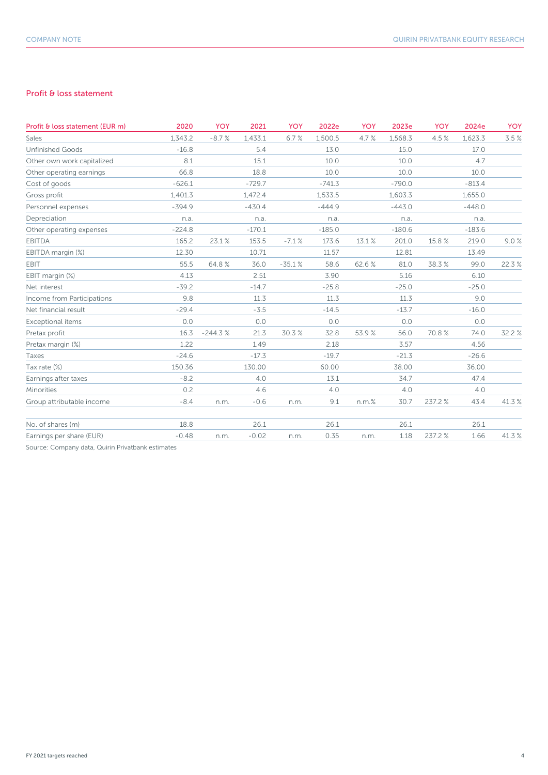#### Profit & loss statement

| Profit & loss statement (EUR m) | 2020     | <b>YOY</b> | 2021     | <b>YOY</b> | 2022e    | <b>YOY</b> | 2023e    | <b>YOY</b> | 2024e    | YOY   |
|---------------------------------|----------|------------|----------|------------|----------|------------|----------|------------|----------|-------|
| Sales                           | 1.343.2  | $-8.7%$    | 1,433.1  | 6.7%       | 1,500.5  | 4.7%       | 1,568.3  | 4.5%       | 1,623.3  | 3.5%  |
| <b>Unfinished Goods</b>         | $-16.8$  |            | 5.4      |            | 13.0     |            | 15.0     |            | 17.0     |       |
| Other own work capitalized      | 8.1      |            | 15.1     |            | 10.0     |            | 10.0     |            | 4.7      |       |
| Other operating earnings        | 66.8     |            | 18.8     |            | 10.0     |            | 10.0     |            | 10.0     |       |
| Cost of goods                   | $-626.1$ |            | $-729.7$ |            | $-741.3$ |            | $-790.0$ |            | $-813.4$ |       |
| Gross profit                    | 1,401.3  |            | 1,472.4  |            | 1,533.5  |            | 1,603.3  |            | 1,655.0  |       |
| Personnel expenses              | $-394.9$ |            | $-430.4$ |            | $-444.9$ |            | $-443.0$ |            | $-448.0$ |       |
| Depreciation                    | n.a.     |            | n.a.     |            | n.a.     |            | n.a.     |            | n.a.     |       |
| Other operating expenses        | $-224.8$ |            | $-170.1$ |            | $-185.0$ |            | $-180.6$ |            | $-183.6$ |       |
| <b>EBITDA</b>                   | 165.2    | 23.1%      | 153.5    | $-7.1%$    | 173.6    | 13.1%      | 201.0    | 15.8 %     | 219.0    | 9.0%  |
| EBITDA margin (%)               | 12.30    |            | 10.71    |            | 11.57    |            | 12.81    |            | 13.49    |       |
| EBIT                            | 55.5     | 64.8%      | 36.0     | $-35.1%$   | 58.6     | 62.6%      | 81.0     | 38.3%      | 99.0     | 22.3% |
| EBIT margin (%)                 | 4.13     |            | 2.51     |            | 3.90     |            | 5.16     |            | 6.10     |       |
| Net interest                    | $-39.2$  |            | $-14.7$  |            | $-25.8$  |            | $-25.0$  |            | $-25.0$  |       |
| Income from Participations      | 9.8      |            | 11.3     |            | 11.3     |            | 11.3     |            | 9.0      |       |
| Net financial result            | $-29.4$  |            | $-3.5$   |            | $-14.5$  |            | $-13.7$  |            | $-16.0$  |       |
| Exceptional items               | 0.0      |            | 0.0      |            | 0.0      |            | 0.0      |            | 0.0      |       |
| Pretax profit                   | 16.3     | $-244.3%$  | 21.3     | 30.3%      | 32.8     | 53.9%      | 56.0     | 70.8%      | 74.0     | 32.2% |
| Pretax margin (%)               | 1.22     |            | 1.49     |            | 2.18     |            | 3.57     |            | 4.56     |       |
| Taxes                           | $-24.6$  |            | $-17.3$  |            | $-19.7$  |            | $-21.3$  |            | $-26.6$  |       |
| Tax rate (%)                    | 150.36   |            | 130.00   |            | 60.00    |            | 38.00    |            | 36.00    |       |
| Earnings after taxes            | $-8.2$   |            | 4.0      |            | 13.1     |            | 34.7     |            | 47.4     |       |
| Minorities                      | 0.2      |            | 4.6      |            | 4.0      |            | 4.0      |            | 4.0      |       |
| Group attributable income       | $-8.4$   | n.m.       | $-0.6$   | n.m.       | 9.1      | $n.m.$ %   | 30.7     | 237.2%     | 43.4     | 41.3% |
| No. of shares (m)               | 18.8     |            | 26.1     |            | 26.1     |            | 26.1     |            | 26.1     |       |
| Earnings per share (EUR)        | $-0.48$  | n.m.       | $-0.02$  | n.m.       | 0.35     | n.m.       | 1.18     | 237.2%     | 1.66     | 41.3% |
|                                 |          |            |          |            |          |            |          |            |          |       |

Source: Company data, Quirin Privatbank estimates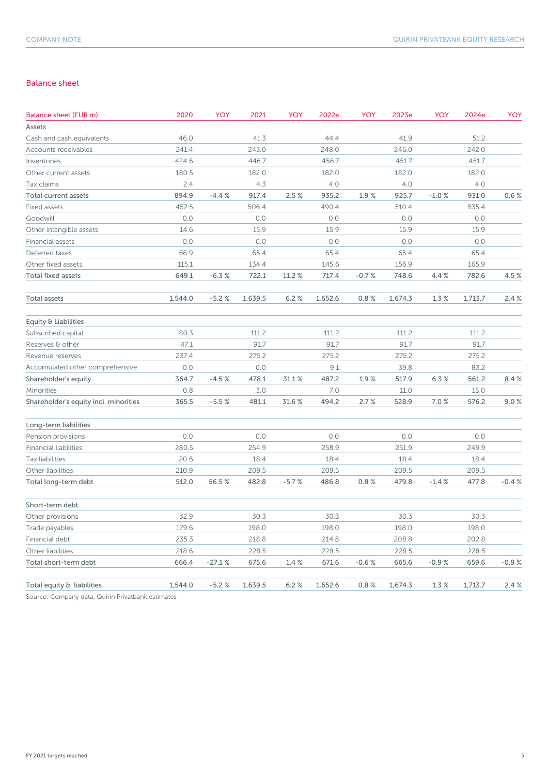#### Balance sheet

| <b>Balance sheet (EUR m)</b>          | 2020    | YOY      | 2021    | YOY     | 2022e   | YOY     | 2023e   | YOY     | 2024e   | YOY     |
|---------------------------------------|---------|----------|---------|---------|---------|---------|---------|---------|---------|---------|
| Assets                                |         |          |         |         |         |         |         |         |         |         |
| Cash and cash equivalents             | 46.0    |          | 41.3    |         | 44.4    |         | 41.9    |         | 51.2    |         |
| Accounts receivables                  | 241.4   |          | 243.0   |         | 248.0   |         | 246.0   |         | 242.0   |         |
| Inventories                           | 424.6   |          | 446.7   |         | 456.7   |         | 451.7   |         | 451.7   |         |
| Other current assets                  | 180.5   |          | 182.0   |         | 182.0   |         | 182.0   |         | 182.0   |         |
| Tax claims                            | 2.4     |          | 4.3     |         | 4.0     |         | 4.0     |         | 4.0     |         |
| Total current assets                  | 894.9   | $-4.4%$  | 917.4   | 2.5%    | 935.2   | 1.9%    | 925.7   | $-1.0%$ | 931.0   | 0.6%    |
| Fixed assets                          | 452.5   |          | 506.4   |         | 490.4   |         | 510.4   |         | 535.4   |         |
| Goodwill                              | 0.0     |          | 0.0     |         | 0.0     |         | 0.0     |         | 0.0     |         |
| Other intangible assets               | 14.6    |          | 15.9    |         | 15.9    |         | 15.9    |         | 15.9    |         |
| Financial assets                      | 0.0     |          | 0.0     |         | 0.0     |         | 0.0     |         | 0.0     |         |
| Deferred taxes                        | 66.9    |          | 65.4    |         | 65.4    |         | 65.4    |         | 65.4    |         |
| Other fixed assets                    | 115.1   |          | 134.4   |         | 145.6   |         | 156.9   |         | 165.9   |         |
| <b>Total fixed assets</b>             | 649.1   | $-6.3%$  | 722.1   | 11.2%   | 717.4   | $-0.7%$ | 748.6   | 4.4%    | 782.6   | 4.5 %   |
| Total assets                          | 1,544.0 | $-5.2%$  | 1,639.5 | 6.2%    | 1,652.6 | 0.8%    | 1,674.3 | 1.3%    | 1,713.7 | 2.4%    |
| Equity & Liabilities                  |         |          |         |         |         |         |         |         |         |         |
| Subscribed capital                    | 80.3    |          | 111.2   |         | 111.2   |         | 111.2   |         | 111.2   |         |
| Reserves & other                      | 47.1    |          | 91.7    |         | 91.7    |         | 91.7    |         | 91.7    |         |
| Revenue reserves                      | 237.4   |          | 275.2   |         | 275.2   |         | 275.2   |         | 275.2   |         |
| Accumulated other comprehensive       | 0.0     |          | 0.0     |         | 9.1     |         | 39.8    |         | 83.2    |         |
| Shareholder's equity                  | 364.7   | $-4.5%$  | 478.1   | 31.1%   | 487.2   | 1.9%    | 517.9   | 6.3%    | 561.2   | 8.4%    |
| Minorities                            | 0.8     |          | 3.0     |         | 7.0     |         | 11.0    |         | 15.0    |         |
| Shareholder's equity incl. minorities | 365.5   | $-5.5%$  | 481.1   | 31.6 %  | 494.2   | 2.7%    | 528.9   | 7.0%    | 576.2   | 9.0%    |
| Long-term liabilities                 |         |          |         |         |         |         |         |         |         |         |
| Pension provisions                    | 0.0     |          | 0.0     |         | 0.0     |         | 0.0     |         | 0.0     |         |
| <b>Financial liabilities</b>          | 280.5   |          | 254.9   |         | 258.9   |         | 251.9   |         | 249.9   |         |
| Tax liabilities                       | 20.6    |          | 18.4    |         | 18.4    |         | 18.4    |         | 18.4    |         |
| Other liabilities                     | 210.9   |          | 209.5   |         | 209.5   |         | 209.5   |         | 209.5   |         |
| Total long-term debt                  | 512.0   | 56.5%    | 482.8   | $-5.7%$ | 486.8   | 0.8%    | 479.8   | $-1.4%$ | 477.8   | $-0.4%$ |
| Short-term debt                       |         |          |         |         |         |         |         |         |         |         |
| Other provisions                      | 32.9    |          | 30.3    |         | 30.3    |         | 30.3    |         | 30.3    |         |
| Trade payables                        | 179.6   |          | 198.0   |         | 198.0   |         | 198.0   |         | 198.0   |         |
| Financial debt                        | 235.3   |          | 218.8   |         | 214.8   |         | 208.8   |         | 202.8   |         |
| Other liabilities                     | 218.6   |          | 228.5   |         | 228.5   |         | 228.5   |         | 228.5   |         |
| Total short-term debt                 | 666.4   | $-27.1%$ | 675.6   | 1.4%    | 671.6   | $-0.6%$ | 665.6   | $-0.9%$ | 659.6   | $-0.9%$ |
| Total equity & liabilities            | 1,544.0 | $-5.2%$  | 1,639.5 | 6.2%    | 1,652.6 | 0.8%    | 1,674.3 | 1.3%    | 1,713.7 | 2.4%    |
|                                       |         |          |         |         |         |         |         |         |         |         |

Source: Company data, Quirin Privatbank estimates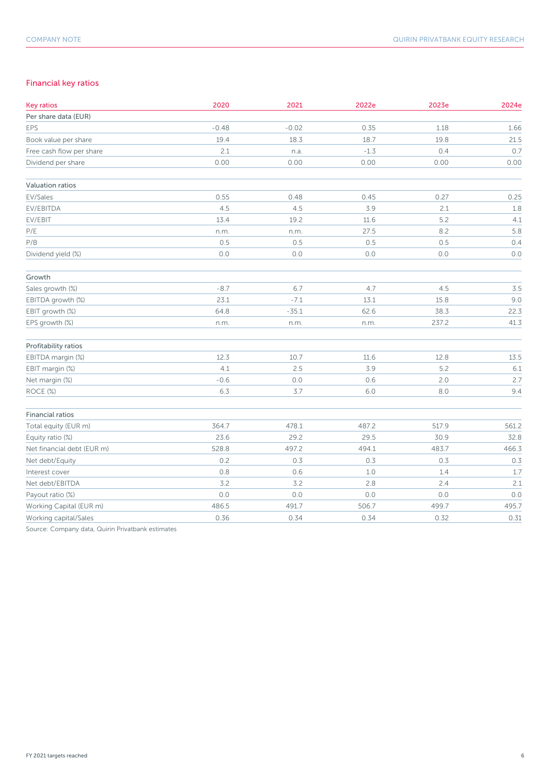### Financial key ratios

| <b>Key ratios</b>          | 2020    | 2021    | 2022e  | 2023e   | 2024e |
|----------------------------|---------|---------|--------|---------|-------|
| Per share data (EUR)       |         |         |        |         |       |
| EPS                        | $-0.48$ | $-0.02$ | 0.35   | 1.18    | 1.66  |
| Book value per share       | 19.4    | 18.3    | 18.7   | 19.8    | 21.5  |
| Free cash flow per share   | 2.1     | n.a.    | $-1.3$ | 0.4     | 0.7   |
| Dividend per share         | 0.00    | 0.00    | 0.00   | 0.00    | 0.00  |
| Valuation ratios           |         |         |        |         |       |
| EV/Sales                   | 0.55    | 0.48    | 0.45   | 0.27    | 0.25  |
| EV/EBITDA                  | 4.5     | 4.5     | 3.9    | 2.1     | 1.8   |
| EV/EBIT                    | 13.4    | 19.2    | 11.6   | 5.2     | 4.1   |
| $\mathsf{P}/\mathsf{E}$    | n.m.    | n.m.    | 27.5   | 8.2     | 5.8   |
| P/B                        | 0.5     | 0.5     | 0.5    | 0.5     | 0.4   |
| Dividend yield (%)         | $0.0$   | $0.0$   | $0.0$  | $0.0\,$ | $0.0$ |
| Growth                     |         |         |        |         |       |
| Sales growth (%)           | $-8.7$  | 6.7     | 4.7    | 4.5     | 3.5   |
| EBITDA growth (%)          | 23.1    | $-7.1$  | 13.1   | 15.8    | 9.0   |
| EBIT growth (%)            | 64.8    | $-35.1$ | 62.6   | 38.3    | 22.3  |
| EPS growth (%)             | n.m.    | n.m.    | n.m.   | 237.2   | 41.3  |
| Profitability ratios       |         |         |        |         |       |
| EBITDA margin (%)          | 12.3    | 10.7    | 11.6   | 12.8    | 13.5  |
| EBIT margin (%)            | 4.1     | 2.5     | 3.9    | 5.2     | 6.1   |
| Net margin (%)             | $-0.6$  | $0.0$   | 0.6    | 2.0     | 2.7   |
| ROCE (%)                   | 6.3     | $3.7$   | $6.0$  | $8.0\,$ | 9.4   |
| <b>Financial ratios</b>    |         |         |        |         |       |
| Total equity (EUR m)       | 364.7   | 478.1   | 487.2  | 517.9   | 561.2 |
| Equity ratio (%)           | 23.6    | 29.2    | 29.5   | 30.9    | 32.8  |
| Net financial debt (EUR m) | 528.8   | 497.2   | 494.1  | 483.7   | 466.3 |
| Net debt/Equity            | 0.2     | 0.3     | 0.3    | 0.3     | 0.3   |
| Interest cover             | 0.8     | 0.6     | 1.0    | 1.4     | 1.7   |
| Net debt/EBITDA            | 3.2     | 3.2     | 2.8    | 2.4     | 2.1   |
| Payout ratio (%)           | 0.0     | $0.0$   | 0.0    | $0.0\,$ | 0.0   |
| Working Capital (EUR m)    | 486.5   | 491.7   | 506.7  | 499.7   | 495.7 |
| Working capital/Sales      | 0.36    | 0.34    | 0.34   | 0.32    | 0.31  |

Source: Company data, Quirin Privatbank estimates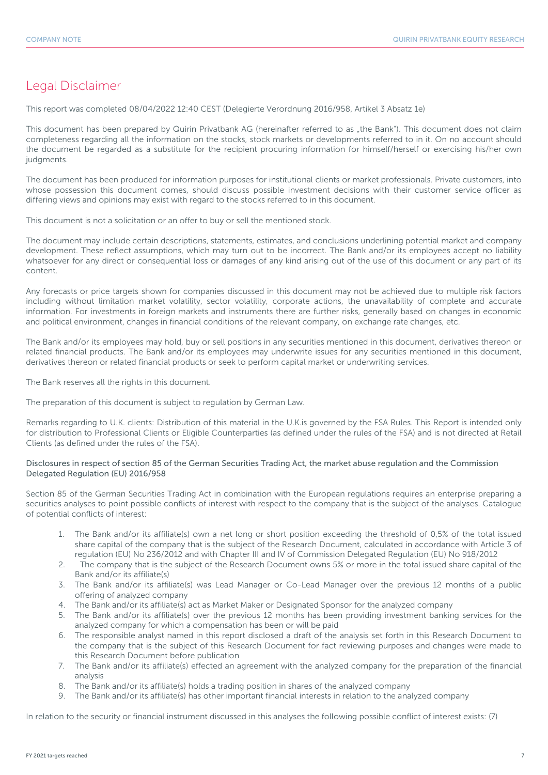### Legal Disclaimer

This report was completed 08/04/2022 12:40 CEST (Delegierte Verordnung 2016/958, Artikel 3 Absatz 1e)

This document has been prepared by Quirin Privatbank AG (hereinafter referred to as "the Bank"). This document does not claim completeness regarding all the information on the stocks, stock markets or developments referred to in it. On no account should the document be regarded as a substitute for the recipient procuring information for himself/herself or exercising his/her own judgments.

The document has been produced for information purposes for institutional clients or market professionals. Private customers, into whose possession this document comes, should discuss possible investment decisions with their customer service officer as differing views and opinions may exist with regard to the stocks referred to in this document.

This document is not a solicitation or an offer to buy or sell the mentioned stock.

The document may include certain descriptions, statements, estimates, and conclusions underlining potential market and company development. These reflect assumptions, which may turn out to be incorrect. The Bank and/or its employees accept no liability whatsoever for any direct or consequential loss or damages of any kind arising out of the use of this document or any part of its content.

Any forecasts or price targets shown for companies discussed in this document may not be achieved due to multiple risk factors including without limitation market volatility, sector volatility, corporate actions, the unavailability of complete and accurate information. For investments in foreign markets and instruments there are further risks, generally based on changes in economic and political environment, changes in financial conditions of the relevant company, on exchange rate changes, etc.

The Bank and/or its employees may hold, buy or sell positions in any securities mentioned in this document, derivatives thereon or related financial products. The Bank and/or its employees may underwrite issues for any securities mentioned in this document, derivatives thereon or related financial products or seek to perform capital market or underwriting services.

The Bank reserves all the rights in this document.

The preparation of this document is subject to regulation by German Law.

Remarks regarding to U.K. clients: Distribution of this material in the U.K.is governed by the FSA Rules. This Report is intended only for distribution to Professional Clients or Eligible Counterparties (as defined under the rules of the FSA) and is not directed at Retail Clients (as defined under the rules of the FSA).

#### Disclosures in respect of section 85 of the German Securities Trading Act, the market abuse regulation and the Commission Delegated Regulation (EU) 2016/958

Section 85 of the German Securities Trading Act in combination with the European regulations requires an enterprise preparing a securities analyses to point possible conflicts of interest with respect to the company that is the subject of the analyses. Catalogue of potential conflicts of interest:

- 1. The Bank and/or its affiliate(s) own a net long or short position exceeding the threshold of 0,5% of the total issued share capital of the company that is the subject of the Research Document, calculated in accordance with Article 3 of regulation (EU) No 236/2012 and with Chapter III and IV of Commission Delegated Regulation (EU) No 918/2012
- 2. The company that is the subject of the Research Document owns 5% or more in the total issued share capital of the Bank and/or its affiliate(s)
- 3. The Bank and/or its affiliate(s) was Lead Manager or Co-Lead Manager over the previous 12 months of a public offering of analyzed company
- 4. The Bank and/or its affiliate(s) act as Market Maker or Designated Sponsor for the analyzed company
- 5. The Bank and/or its affiliate(s) over the previous 12 months has been providing investment banking services for the analyzed company for which a compensation has been or will be paid
- 6. The responsible analyst named in this report disclosed a draft of the analysis set forth in this Research Document to the company that is the subject of this Research Document for fact reviewing purposes and changes were made to this Research Document before publication
- 7. The Bank and/or its affiliate(s) effected an agreement with the analyzed company for the preparation of the financial analysis
- 8. The Bank and/or its affiliate(s) holds a trading position in shares of the analyzed company
- 9. The Bank and/or its affiliate(s) has other important financial interests in relation to the analyzed company

In relation to the security or financial instrument discussed in this analyses the following possible conflict of interest exists: (7)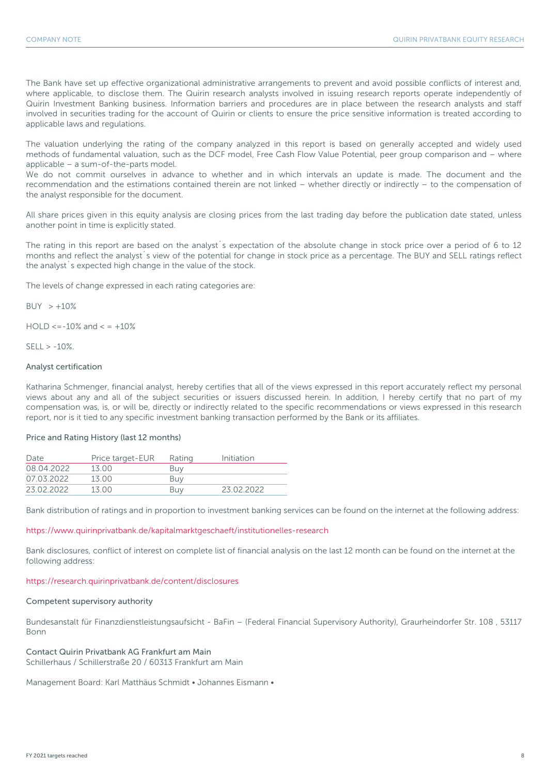The Bank have set up effective organizational administrative arrangements to prevent and avoid possible conflicts of interest and, where applicable, to disclose them. The Quirin research analysts involved in issuing research reports operate independently of Quirin Investment Banking business. Information barriers and procedures are in place between the research analysts and staff involved in securities trading for the account of Quirin or clients to ensure the price sensitive information is treated according to applicable laws and regulations.

The valuation underlying the rating of the company analyzed in this report is based on generally accepted and widely used methods of fundamental valuation, such as the DCF model, Free Cash Flow Value Potential, peer group comparison and – where applicable – a sum-of-the-parts model.

We do not commit ourselves in advance to whether and in which intervals an update is made. The document and the recommendation and the estimations contained therein are not linked – whether directly or indirectly – to the compensation of the analyst responsible for the document.

All share prices given in this equity analysis are closing prices from the last trading day before the publication date stated, unless another point in time is explicitly stated.

The rating in this report are based on the analyst´s expectation of the absolute change in stock price over a period of 6 to 12 months and reflect the analyst´s view of the potential for change in stock price as a percentage. The BUY and SELL ratings reflect the analyst´s expected high change in the value of the stock.

The levels of change expressed in each rating categories are:

 $BUY > +10%$ 

 $HOLD \le -10\%$  and  $\le +10\%$ 

 $SFII > -10%$ 

#### Analyst certification

Katharina Schmenger, financial analyst, hereby certifies that all of the views expressed in this report accurately reflect my personal views about any and all of the subject securities or issuers discussed herein. In addition, I hereby certify that no part of my compensation was, is, or will be, directly or indirectly related to the specific recommendations or views expressed in this research report, nor is it tied to any specific investment banking transaction performed by the Bank or its affiliates.

#### Price and Rating History (last 12 months)

| Date       | Price target-EUR | Rating | Initiation |
|------------|------------------|--------|------------|
| 08.04.2022 | 13.00            | Buv    |            |
| 07.03.2022 | 13.00            | Buv    |            |
| 23.02.2022 | 13 O.O           | Buv    | 23 02 2022 |

Bank distribution of ratings and in proportion to investment banking services can be found on the internet at the following address:

#### https://www.quirinprivatbank.de/kapitalmarktgeschaeft/institutionelles-research

Bank disclosures, conflict of interest on complete list of financial analysis on the last 12 month can be found on the internet at the following address:

#### https://research.quirinprivatbank.de/content/disclosures

#### Competent supervisory authority

Bundesanstalt für Finanzdienstleistungsaufsicht - BaFin – (Federal Financial Supervisory Authority), Graurheindorfer Str. 108 , 53117 Bonn

#### Contact Quirin Privatbank AG Frankfurt am Main

Schillerhaus / Schillerstraße 20 / 60313 Frankfurt am Main

Management Board: Karl Matthäus Schmidt • Johannes Eismann •